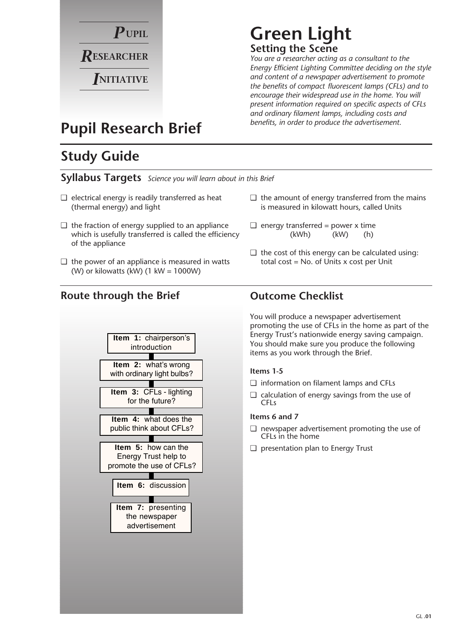

## **Green Light Setting the Scene**

*You are a researcher acting as a consultant to the Energy Efficient Lighting Committee deciding on the style and content of a newspaper advertisement to promote the benefits of compact fluorescent lamps (CFLs) and to encourage their widespread use in the home. You will present information required on specific aspects of CFLs and ordinary filament lamps, including costs and benefits, in order to produce the advertisement.*

## **Pupil Research Brief**

## **Study Guide**

**Syllabus Targets** *Science you will learn about in this Brief*

- $\Box$  electrical energy is readily transferred as heat (thermal energy) and light
- $\Box$  the fraction of energy supplied to an appliance which is usefully transferred is called the efficiency of the appliance
- $\Box$  the power of an appliance is measured in watts (W) or kilowatts (kW)  $(1 \text{ kW} = 1000 \text{W})$

### **Route through the Brief Outcome Checklist**



#### $\Box$  the amount of energy transferred from the mains is measured in kilowatt hours, called Units

- $\Box$  energy transferred = power x time (kWh) (kW) (h)
- $\Box$  the cost of this energy can be calculated using: total cost = No. of Units x cost per Unit

You will produce a newspaper advertisement promoting the use of CFLs in the home as part of the Energy Trust's nationwide energy saving campaign. You should make sure you produce the following items as you work through the Brief.

#### **Items 1-5**

- ❏ information on filament lamps and CFLs
- ❏ calculation of energy savings from the use of CFLs

#### **Items 6 and 7**

- ❏ newspaper advertisement promoting the use of CFLs in the home
- ❏ presentation plan to Energy Trust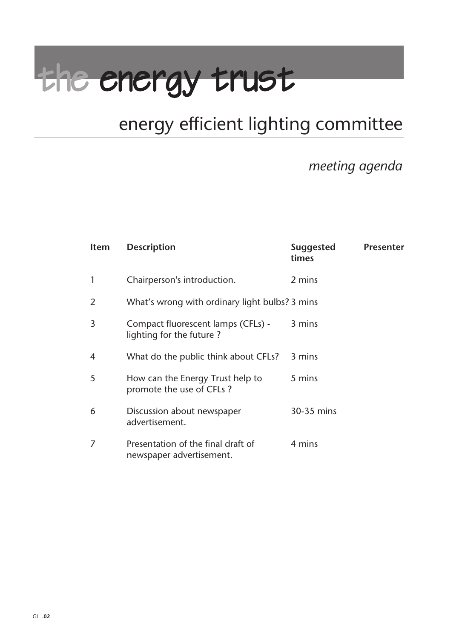# the energy trust

## energy efficient lighting committee

## *meeting agenda*

| <b>Item</b> | <b>Description</b>                                             | <b>Suggested</b><br>times | <b>Presenter</b> |
|-------------|----------------------------------------------------------------|---------------------------|------------------|
|             | Chairperson's introduction.                                    | 2 mins                    |                  |
| 2           | What's wrong with ordinary light bulbs? 3 mins                 |                           |                  |
| 3           | Compact fluorescent lamps (CFLs) -<br>lighting for the future? | 3 mins                    |                  |
| 4           | What do the public think about CFLs?                           | 3 mins                    |                  |
| 5           | How can the Energy Trust help to<br>promote the use of CFLs?   | 5 mins                    |                  |
| 6           | Discussion about newspaper<br>advertisement.                   | 30-35 mins                |                  |
|             | Presentation of the final draft of<br>newspaper advertisement. | 4 mins                    |                  |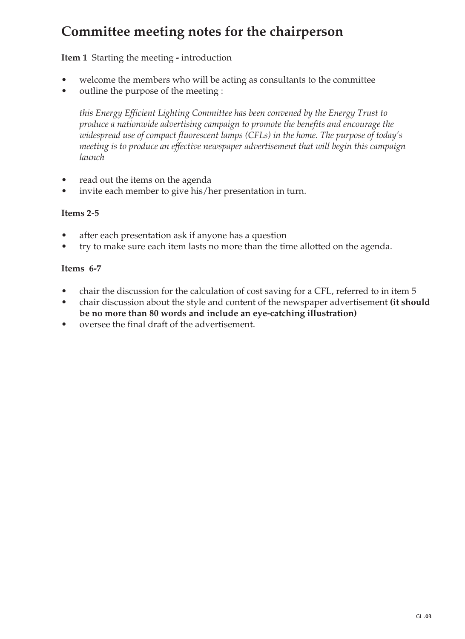## **Committee meeting notes for the chairperson**

**Item 1** Starting the meeting **-** introduction

- welcome the members who will be acting as consultants to the committee
- outline the purpose of the meeting :

*this Energy Efficient Lighting Committee has been convened by the Energy Trust to produce a nationwide advertising campaign to promote the benefits and encourage the widespread use of compact fluorescent lamps (CFLs) in the home. The purpose of today's meeting is to produce an effective newspaper advertisement that will begin this campaign launch*

- read out the items on the agenda
- invite each member to give his/her presentation in turn.

#### **Items 2-5**

- after each presentation ask if anyone has a question
- try to make sure each item lasts no more than the time allotted on the agenda.

#### **Items 6-7**

- chair the discussion for the calculation of cost saving for a CFL, referred to in item 5
- chair discussion about the style and content of the newspaper advertisement **(it should be no more than 80 words and include an eye-catching illustration)**
- oversee the final draft of the advertisement.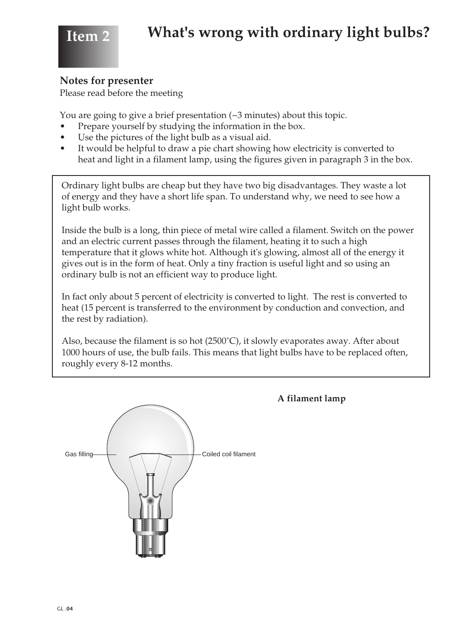

#### **Notes for presenter**

Please read before the meeting

You are going to give a brief presentation (~3 minutes) about this topic.

- Prepare yourself by studying the information in the box.
- Use the pictures of the light bulb as a visual aid.
- It would be helpful to draw a pie chart showing how electricity is converted to heat and light in a filament lamp, using the figures given in paragraph 3 in the box.

Ordinary light bulbs are cheap but they have two big disadvantages. They waste a lot of energy and they have a short life span. To understand why, we need to see how a light bulb works.

Inside the bulb is a long, thin piece of metal wire called a filament. Switch on the power and an electric current passes through the filament, heating it to such a high temperature that it glows white hot. Although it's glowing, almost all of the energy it gives out is in the form of heat. Only a tiny fraction is useful light and so using an ordinary bulb is not an efficient way to produce light.

In fact only about 5 percent of electricity is converted to light. The rest is converted to heat (15 percent is transferred to the environment by conduction and convection, and the rest by radiation).

Also, because the filament is so hot (2500˚C), it slowly evaporates away. After about 1000 hours of use, the bulb fails. This means that light bulbs have to be replaced often, roughly every 8-12 months.



#### **A filament lamp**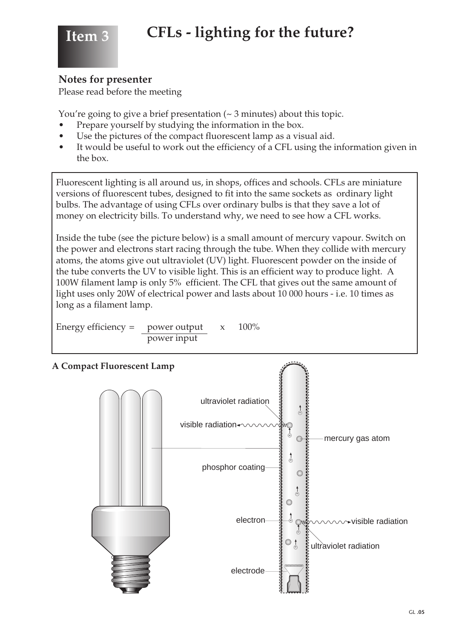

#### **Notes for presenter**

Please read before the meeting

You're going to give a brief presentation  $($   $\sim$  3 minutes) about this topic.

- Prepare yourself by studying the information in the box.
- Use the pictures of the compact fluorescent lamp as a visual aid.
- It would be useful to work out the efficiency of a CFL using the information given in the box.

Fluorescent lighting is all around us, in shops, offices and schools. CFLs are miniature versions of fluorescent tubes, designed to fit into the same sockets as ordinary light bulbs. The advantage of using CFLs over ordinary bulbs is that they save a lot of money on electricity bills. To understand why, we need to see how a CFL works.

Inside the tube (see the picture below) is a small amount of mercury vapour. Switch on the power and electrons start racing through the tube. When they collide with mercury atoms, the atoms give out ultraviolet (UV) light. Fluorescent powder on the inside of the tube converts the UV to visible light. This is an efficient way to produce light. A 100W filament lamp is only 5% efficient. The CFL that gives out the same amount of light uses only 20W of electrical power and lasts about 10 000 hours - i.e. 10 times as long as a filament lamp.

Energy efficiency = power output  $x = 100\%$ power input

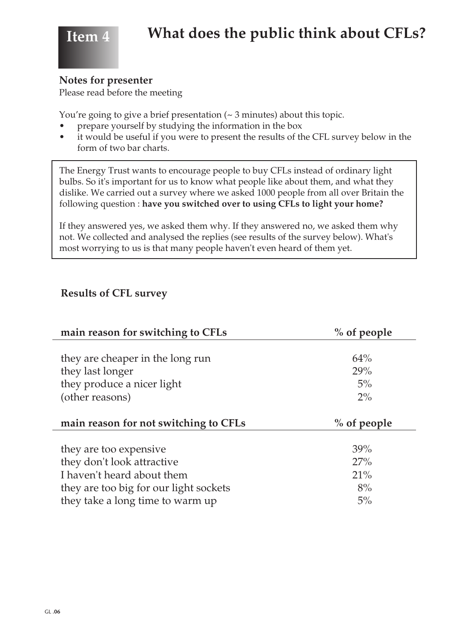

#### **Notes for presenter**

Please read before the meeting

You're going to give a brief presentation  $($   $\sim$  3 minutes) about this topic.

- prepare yourself by studying the information in the box
- it would be useful if you were to present the results of the CFL survey below in the form of two bar charts.

The Energy Trust wants to encourage people to buy CFLs instead of ordinary light bulbs. So it's important for us to know what people like about them, and what they dislike. We carried out a survey where we asked 1000 people from all over Britain the following question : **have you switched over to using CFLs to light your home?** 

If they answered yes, we asked them why. If they answered no, we asked them why not. We collected and analysed the replies (see results of the survey below). What's most worrying to us is that many people haven't even heard of them yet.

#### **Results of CFL survey**

| main reason for switching to CFLs      | % of people   |  |
|----------------------------------------|---------------|--|
|                                        |               |  |
| they are cheaper in the long run       | 64%           |  |
| they last longer                       | 29%           |  |
| they produce a nicer light             | $5\%$         |  |
| (other reasons)                        | $2\%$         |  |
|                                        |               |  |
|                                        | $%$ of people |  |
| main reason for not switching to CFLs  |               |  |
|                                        |               |  |
| they are too expensive                 | 39%           |  |
| they don't look attractive             | 27%           |  |
| I haven't heard about them             | 21%           |  |
| they are too big for our light sockets | 8%            |  |